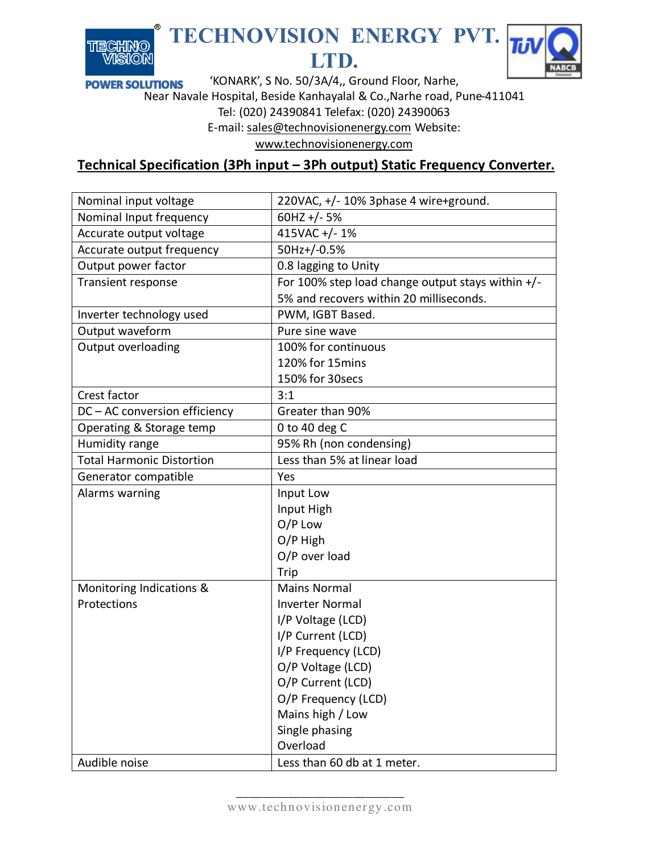

## **TECHNOVISION ENERGY PVT. LTD.**



'KONARK', S No. 50/3A/4,, Ground Floor, Narhe, **POWER SOLUTIONS** Near Navale Hospital, Beside Kanhayalal & Co.,Narhe road, Pune-411041

Tel: (020) 24390841 Telefax: (020) 24390063

E-mail[: sales@technovisionenergy.com](mailto:sales@technovisionenergy.com) Website:

[www.technovisionenergy.com](http://www.technovisionenergy.com/)

## **Technical Specification (3Ph input – 3Ph output) Static Frequency Converter.**

| Nominal input voltage            | 220VAC, +/- 10% 3phase 4 wire+ground.             |
|----------------------------------|---------------------------------------------------|
| Nominal Input frequency          | 60HZ +/-5%                                        |
| Accurate output voltage          | 415VAC +/- 1%                                     |
| Accurate output frequency        | 50Hz+/-0.5%                                       |
| Output power factor              | 0.8 lagging to Unity                              |
| <b>Transient response</b>        | For 100% step load change output stays within +/- |
|                                  | 5% and recovers within 20 milliseconds.           |
| Inverter technology used         | PWM, IGBT Based.                                  |
| Output waveform                  | Pure sine wave                                    |
| Output overloading               | 100% for continuous                               |
|                                  | 120% for 15mins                                   |
|                                  | 150% for 30secs                                   |
| Crest factor                     | 3:1                                               |
| DC - AC conversion efficiency    | Greater than 90%                                  |
| Operating & Storage temp         | 0 to 40 deg $C$                                   |
| Humidity range                   | 95% Rh (non condensing)                           |
| <b>Total Harmonic Distortion</b> | Less than 5% at linear load                       |
| Generator compatible             | Yes                                               |
| Alarms warning                   | Input Low                                         |
|                                  | Input High                                        |
|                                  | O/P Low                                           |
|                                  | O/P High                                          |
|                                  | O/P over load                                     |
|                                  | Trip                                              |
| Monitoring Indications &         | <b>Mains Normal</b>                               |
| Protections                      | <b>Inverter Normal</b>                            |
|                                  | I/P Voltage (LCD)                                 |
|                                  | I/P Current (LCD)                                 |
|                                  | I/P Frequency (LCD)                               |
|                                  | O/P Voltage (LCD)                                 |
|                                  | O/P Current (LCD)                                 |
|                                  | O/P Frequency (LCD)                               |
|                                  | Mains high / Low                                  |
|                                  | Single phasing                                    |
|                                  | Overload                                          |
| Audible noise                    | Less than 60 db at 1 meter.                       |